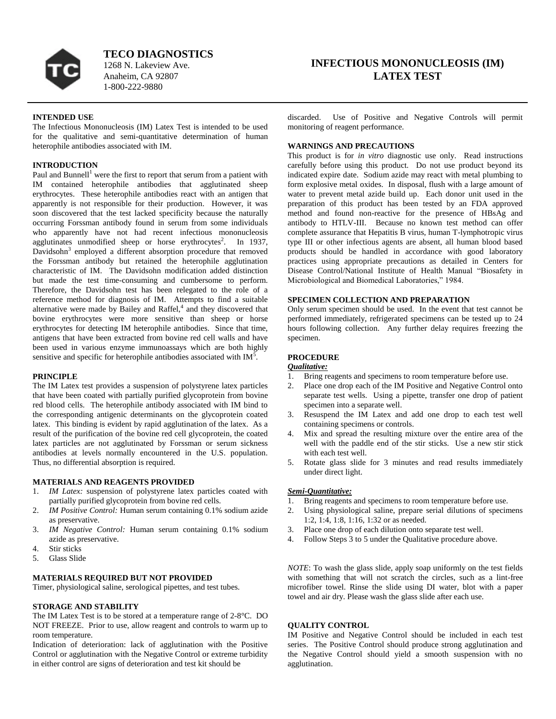

**TECO DIAGNOSTICS**

1268 N. Lakeview Ave. Anaheim, CA 92807 1-800-222-9880

# **INFECTIOUS MONONUCLEOSIS (IM) LATEX TEST**

### **INTENDED USE**

The Infectious Mononucleosis (IM) Latex Test is intended to be used for the qualitative and semi-quantitative determination of human heterophile antibodies associated with IM.

# **INTRODUCTION**

Paul and Bunnell<sup>1</sup> were the first to report that serum from a patient with IM contained heterophile antibodies that agglutinated sheep erythrocytes. These heterophile antibodies react with an antigen that apparently is not responsible for their production. However, it was soon discovered that the test lacked specificity because the naturally occurring Forssman antibody found in serum from some individuals who apparently have not had recent infectious mononucleosis agglutinates unmodified sheep or horse erythrocytes<sup>2</sup>. In 1937, Davidsohn<sup>3</sup> employed a different absorption procedure that removed the Forssman antibody but retained the heterophile agglutination characteristic of IM. The Davidsohn modification added distinction but made the test time-consuming and cumbersome to perform. Therefore, the Davidsohn test has been relegated to the role of a reference method for diagnosis of IM. Attempts to find a suitable alternative were made by Bailey and Raffel,<sup>4</sup> and they discovered that bovine erythrocytes were more sensitive than sheep or horse erythrocytes for detecting IM heterophile antibodies. Since that time, antigens that have been extracted from bovine red cell walls and have been used in various enzyme immunoassays which are both highly sensitive and specific for heterophile antibodies associated with  $IM<sup>5</sup>$ .

### **PRINCIPLE**

The IM Latex test provides a suspension of polystyrene latex particles that have been coated with partially purified glycoprotein from bovine red blood cells. The heterophile antibody associated with IM bind to the corresponding antigenic determinants on the glycoprotein coated latex. This binding is evident by rapid agglutination of the latex. As a result of the purification of the bovine red cell glycoprotein, the coated latex particles are not agglutinated by Forssman or serum sickness antibodies at levels normally encountered in the U.S. population. Thus, no differential absorption is required.

### **MATERIALS AND REAGENTS PROVIDED**

- 1. *IM Latex:* suspension of polystyrene latex particles coated with partially purified glycoprotein from bovine red cells.
- 2. *IM Positive Control:* Human serum containing 0.1% sodium azide as preservative.
- 3. *IM Negative Control:* Human serum containing 0.1% sodium azide as preservative.
- 4. Stir sticks
- 5. Glass Slide

### **MATERIALS REQUIRED BUT NOT PROVIDED**

Timer, physiological saline, serological pipettes, and test tubes.

### **STORAGE AND STABILITY**

The IM Latex Test is to be stored at a temperature range of 2-8°C. DO NOT FREEZE. Prior to use, allow reagent and controls to warm up to room temperature.

Indication of deterioration: lack of agglutination with the Positive Control or agglutination with the Negative Control or extreme turbidity in either control are signs of deterioration and test kit should be

discarded. Use of Positive and Negative Controls will permit monitoring of reagent performance.

### **WARNINGS AND PRECAUTIONS**

This product is for *in vitro* diagnostic use only. Read instructions carefully before using this product. Do not use product beyond its indicated expire date. Sodium azide may react with metal plumbing to form explosive metal oxides. In disposal, flush with a large amount of water to prevent metal azide build up. Each donor unit used in the preparation of this product has been tested by an FDA approved method and found non-reactive for the presence of HBsAg and antibody to HTLV-III. Because no known test method can offer complete assurance that Hepatitis B virus, human T-lymphotropic virus type III or other infectious agents are absent, all human blood based products should be handled in accordance with good laboratory practices using appropriate precautions as detailed in Centers for Disease Control/National Institute of Health Manual "Biosafety in Microbiological and Biomedical Laboratories," 1984.

# **SPECIMEN COLLECTION AND PREPARATION**

Only serum specimen should be used. In the event that test cannot be performed immediately, refrigerated specimens can be tested up to 24 hours following collection. Any further delay requires freezing the specimen.

### **PROCEDURE**

### *Qualitative:*

- 1. Bring reagents and specimens to room temperature before use.
- 2. Place one drop each of the IM Positive and Negative Control onto separate test wells. Using a pipette, transfer one drop of patient specimen into a separate well.
- 3. Resuspend the IM Latex and add one drop to each test well containing specimens or controls.
- 4. Mix and spread the resulting mixture over the entire area of the well with the paddle end of the stir sticks. Use a new stir stick with each test well.
- 5. Rotate glass slide for 3 minutes and read results immediately under direct light.

# *Semi-Quantitative:*

- 1. Bring reagents and specimens to room temperature before use.
- 2. Using physiological saline, prepare serial dilutions of specimens 1:2, 1:4, 1:8, 1:16, 1:32 or as needed.
- 3. Place one drop of each dilution onto separate test well.
- 4. Follow Steps 3 to 5 under the Qualitative procedure above.

*NOTE*: To wash the glass slide, apply soap uniformly on the test fields with something that will not scratch the circles, such as a lint-free microfiber towel. Rinse the slide using DI water, blot with a paper towel and air dry. Please wash the glass slide after each use.

### **QUALITY CONTROL**

IM Positive and Negative Control should be included in each test series. The Positive Control should produce strong agglutination and the Negative Control should yield a smooth suspension with no agglutination.